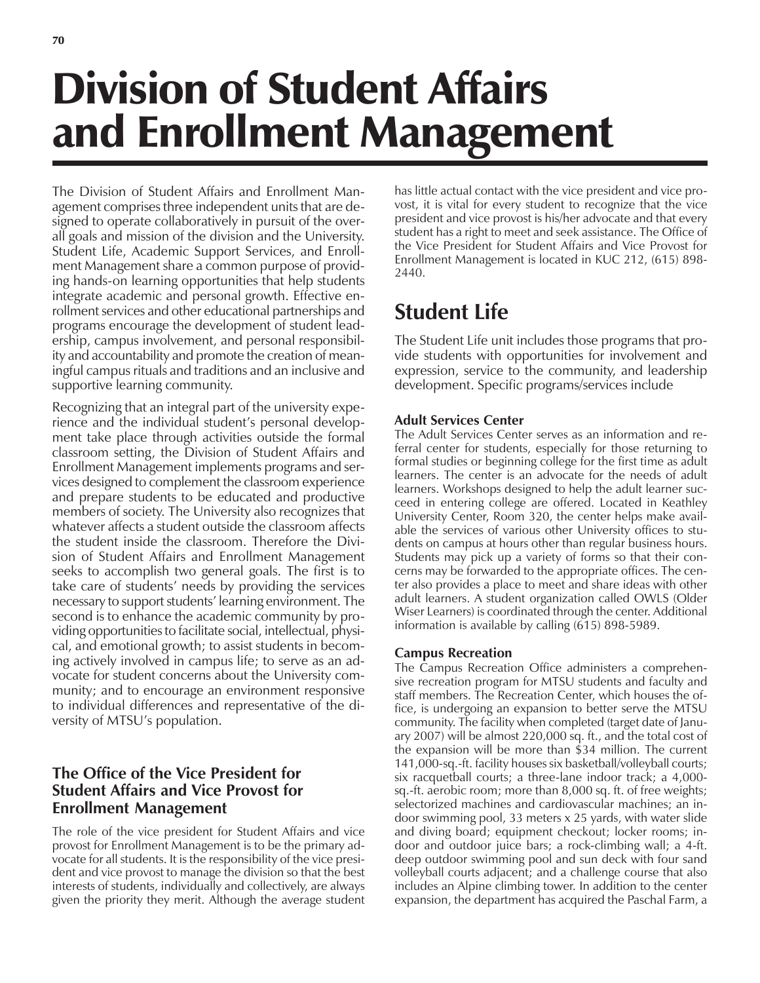# Division of Student Affairs and Enrollment Management

The Division of Student Affairs and Enrollment Management comprises three independent units that are designed to operate collaboratively in pursuit of the overall goals and mission of the division and the University. Student Life, Academic Support Services, and Enrollment Management share a common purpose of providing hands-on learning opportunities that help students integrate academic and personal growth. Effective enrollment services and other educational partnerships and programs encourage the development of student leadership, campus involvement, and personal responsibility and accountability and promote the creation of meaningful campus rituals and traditions and an inclusive and supportive learning community.

Recognizing that an integral part of the university experience and the individual student's personal development take place through activities outside the formal classroom setting, the Division of Student Affairs and Enrollment Management implements programs and services designed to complement the classroom experience and prepare students to be educated and productive members of society. The University also recognizes that whatever affects a student outside the classroom affects the student inside the classroom. Therefore the Division of Student Affairs and Enrollment Management seeks to accomplish two general goals. The first is to take care of students' needs by providing the services necessary to support students' learning environment. The second is to enhance the academic community by providing opportunities to facilitate social, intellectual, physical, and emotional growth; to assist students in becoming actively involved in campus life; to serve as an advocate for student concerns about the University community; and to encourage an environment responsive to individual differences and representative of the diversity of MTSU's population.

# **The Office of the Vice President for Student Affairs and Vice Provost for Enrollment Management**

The role of the vice president for Student Affairs and vice provost for Enrollment Management is to be the primary advocate for all students. It is the responsibility of the vice president and vice provost to manage the division so that the best interests of students, individually and collectively, are always given the priority they merit. Although the average student has little actual contact with the vice president and vice provost, it is vital for every student to recognize that the vice president and vice provost is his/her advocate and that every student has a right to meet and seek assistance. The Office of the Vice President for Student Affairs and Vice Provost for Enrollment Management is located in KUC 212, (615) 898- 2440.

# **Student Life**

The Student Life unit includes those programs that provide students with opportunities for involvement and expression, service to the community, and leadership development. Specific programs/services include

# **Adult Services Center**

The Adult Services Center serves as an information and referral center for students, especially for those returning to formal studies or beginning college for the first time as adult learners. The center is an advocate for the needs of adult learners. Workshops designed to help the adult learner succeed in entering college are offered. Located in Keathley University Center, Room 320, the center helps make available the services of various other University offices to students on campus at hours other than regular business hours. Students may pick up a variety of forms so that their concerns may be forwarded to the appropriate offices. The center also provides a place to meet and share ideas with other adult learners. A student organization called OWLS (Older Wiser Learners) is coordinated through the center. Additional information is available by calling (615) 898-5989.

# **Campus Recreation**

The Campus Recreation Office administers a comprehensive recreation program for MTSU students and faculty and staff members. The Recreation Center, which houses the office, is undergoing an expansion to better serve the MTSU community. The facility when completed (target date of January 2007) will be almost 220,000 sq. ft., and the total cost of the expansion will be more than \$34 million. The current 141,000-sq.-ft. facility houses six basketball/volleyball courts; six racquetball courts; a three-lane indoor track; a 4,000 sq.-ft. aerobic room; more than 8,000 sq. ft. of free weights; selectorized machines and cardiovascular machines; an indoor swimming pool, 33 meters x 25 yards, with water slide and diving board; equipment checkout; locker rooms; indoor and outdoor juice bars; a rock-climbing wall; a 4-ft. deep outdoor swimming pool and sun deck with four sand volleyball courts adjacent; and a challenge course that also includes an Alpine climbing tower. In addition to the center expansion, the department has acquired the Paschal Farm, a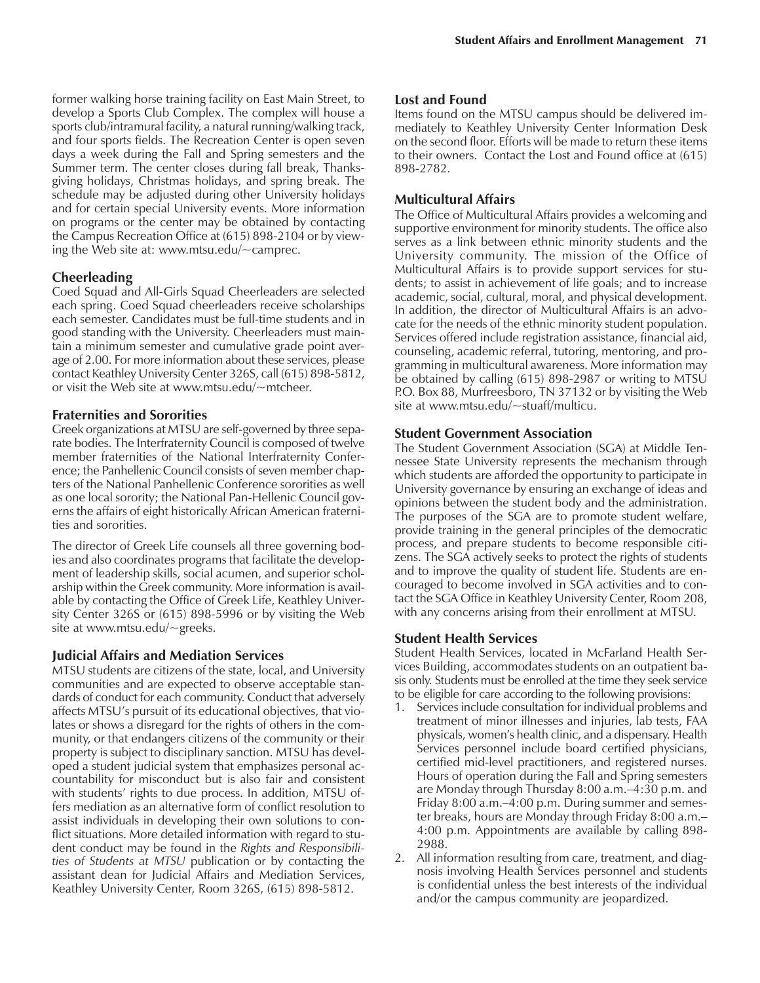former walking horse training facility on East Main Street, to develop a Sports Club Complex. The complex will house a sports club/intramural facility, a natural running/walking track, and four sports fields. The Recreation Center is open seven days a week during the Fall and Spring semesters and the Summer term. The center closes during fall break, Thanksgiving holidays, Christmas holidays, and spring break. The schedule may be adjusted during other University holidays and for certain special University events. More information on programs or the center may be obtained by contacting the Campus Recreation Office at (615) 898-2104 or by viewing the Web site at: www.mtsu.edu/~camprec.

#### **Cheerleading**

Coed Squad and All-Girls Squad Cheerleaders are selected each spring. Coed Squad cheerleaders receive scholarships each semester. Candidates must be full-time students and in good standing with the University. Cheerleaders must maintain a minimum semester and cumulative grade point average of 2.00. For more information about these services, please contact Keathley University Center 326S, call (615) 898-5812, or visit the Web site at www.mtsu.edu/~mtcheer.

#### **Fraternities and Sororities**

Greek organizations at MTSU are self-governed by three separate bodies. The Interfraternity Council is composed of twelve member fraternities of the National Interfraternity Conference; the Panhellenic Council consists of seven member chapters of the National Panhellenic Conference sororities as well as one local sorority; the National Pan-Hellenic Council governs the affairs of eight historically African American fraternities and sororities.

The director of Greek Life counsels all three governing bodies and also coordinates programs that facilitate the development of leadership skills, social acumen, and superior scholarship within the Greek community. More information is available by contacting the Office of Greek Life, Keathley University Center 326S or (615) 898-5996 or by visiting the Web site at www.mtsu.edu/~greeks.

#### **Judicial Affairs and Mediation Services**

MTSU students are citizens of the state, local, and University communities and are expected to observe acceptable standards of conduct for each community. Conduct that adversely affects MTSU's pursuit of its educational objectives, that violates or shows a disregard for the rights of others in the community, or that endangers citizens of the community or their property is subject to disciplinary sanction. MTSU has developed a student judicial system that emphasizes personal accountability for misconduct but is also fair and consistent with students' rights to due process. In addition, MTSU offers mediation as an alternative form of conflict resolution to assist individuals in developing their own solutions to conflict situations. More detailed information with regard to student conduct may be found in the *Rights and Responsibilities of Students at MTSU* publication or by contacting the assistant dean for Judicial Affairs and Mediation Services, Keathley University Center, Room 326S, (615) 898-5812.

#### **Lost and Found**

Items found on the MTSU campus should be delivered immediately to Keathley University Center Information Desk on the second floor. Efforts will be made to return these items to their owners. Contact the Lost and Found office at (615) 898-2782.

#### **Multicultural Affairs**

The Office of Multicultural Affairs provides a welcoming and supportive environment for minority students. The office also serves as a link between ethnic minority students and the University community. The mission of the Office of Multicultural Affairs is to provide support services for students; to assist in achievement of life goals; and to increase academic, social, cultural, moral, and physical development. In addition, the director of Multicultural Affairs is an advocate for the needs of the ethnic minority student population. Services offered include registration assistance, financial aid, counseling, academic referral, tutoring, mentoring, and programming in multicultural awareness. More information may be obtained by calling (615) 898-2987 or writing to MTSU P.O. Box 88, Murfreesboro, TN 37132 or by visiting the Web site at www.mtsu.edu/~stuaff/multicu.

#### **Student Government Association**

The Student Government Association (SGA) at Middle Tennessee State University represents the mechanism through which students are afforded the opportunity to participate in University governance by ensuring an exchange of ideas and opinions between the student body and the administration. The purposes of the SGA are to promote student welfare, provide training in the general principles of the democratic process, and prepare students to become responsible citizens. The SGA actively seeks to protect the rights of students and to improve the quality of student life. Students are encouraged to become involved in SGA activities and to contact the SGA Office in Keathley University Center, Room 208, with any concerns arising from their enrollment at MTSU.

#### **Student Health Services**

Student Health Services, located in McFarland Health Services Building, accommodates students on an outpatient basis only. Students must be enrolled at the time they seek service to be eligible for care according to the following provisions:

- 1. Services include consultation for individual problems and treatment of minor illnesses and injuries, lab tests, FAA physicals, womenís health clinic, and a dispensary. Health Services personnel include board certified physicians, certified mid-level practitioners, and registered nurses. Hours of operation during the Fall and Spring semesters are Monday through Thursday 8:00 a.m. -4:30 p.m. and Friday 8:00 a.m.–4:00 p.m. During summer and semester breaks, hours are Monday through Friday 8:00 a.m. 4:00 p.m. Appointments are available by calling 898- 2988.
- 2. All information resulting from care, treatment, and diagnosis involving Health Services personnel and students is confidential unless the best interests of the individual and/or the campus community are jeopardized.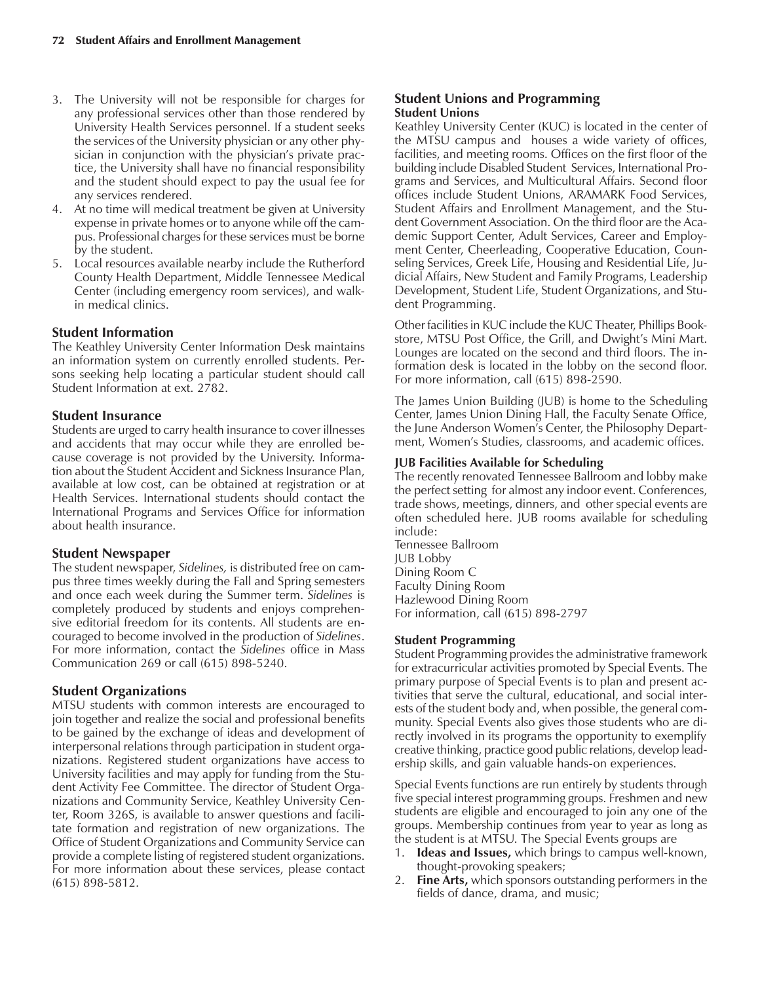- 3. The University will not be responsible for charges for any professional services other than those rendered by University Health Services personnel. If a student seeks the services of the University physician or any other physician in conjunction with the physician's private practice, the University shall have no financial responsibility and the student should expect to pay the usual fee for any services rendered.
- 4. At no time will medical treatment be given at University expense in private homes or to anyone while off the campus. Professional charges for these services must be borne by the student.
- 5. Local resources available nearby include the Rutherford County Health Department, Middle Tennessee Medical Center (including emergency room services), and walkin medical clinics.

#### **Student Information**

The Keathley University Center Information Desk maintains an information system on currently enrolled students. Persons seeking help locating a particular student should call Student Information at ext. 2782.

#### **Student Insurance**

Students are urged to carry health insurance to cover illnesses and accidents that may occur while they are enrolled because coverage is not provided by the University. Information about the Student Accident and Sickness Insurance Plan, available at low cost, can be obtained at registration or at Health Services. International students should contact the International Programs and Services Office for information about health insurance.

#### **Student Newspaper**

The student newspaper, *Sidelines,* is distributed free on campus three times weekly during the Fall and Spring semesters and once each week during the Summer term. *Sidelines* is completely produced by students and enjoys comprehensive editorial freedom for its contents. All students are encouraged to become involved in the production of *Sidelines*. For more information, contact the *Sidelines* office in Mass Communication 269 or call (615) 898-5240.

# **Student Organizations**

MTSU students with common interests are encouraged to join together and realize the social and professional benefits to be gained by the exchange of ideas and development of interpersonal relations through participation in student organizations. Registered student organizations have access to University facilities and may apply for funding from the Student Activity Fee Committee. The director of Student Organizations and Community Service, Keathley University Center, Room 326S, is available to answer questions and facilitate formation and registration of new organizations. The Office of Student Organizations and Community Service can provide a complete listing of registered student organizations. For more information about these services, please contact (615) 898-5812.

#### **Student Unions and Programming Student Unions**

Keathley University Center (KUC) is located in the center of the MTSU campus and houses a wide variety of offices, facilities, and meeting rooms. Offices on the first floor of the building include Disabled Student Services, International Programs and Services, and Multicultural Affairs. Second floor offices include Student Unions, ARAMARK Food Services, Student Affairs and Enrollment Management, and the Student Government Association. On the third floor are the Academic Support Center, Adult Services, Career and Employment Center, Cheerleading, Cooperative Education, Counseling Services, Greek Life, Housing and Residential Life, Judicial Affairs, New Student and Family Programs, Leadership Development, Student Life, Student Organizations, and Student Programming.

Other facilities in KUC include the KUC Theater, Phillips Bookstore, MTSU Post Office, the Grill, and Dwight's Mini Mart. Lounges are located on the second and third floors. The information desk is located in the lobby on the second floor. For more information, call (615) 898-2590.

The James Union Building (JUB) is home to the Scheduling Center, James Union Dining Hall, the Faculty Senate Office, the June Anderson Womenís Center, the Philosophy Department, Women's Studies, classrooms, and academic offices.

#### **JUB Facilities Available for Scheduling**

The recently renovated Tennessee Ballroom and lobby make the perfect setting for almost any indoor event. Conferences, trade shows, meetings, dinners, and other special events are often scheduled here. JUB rooms available for scheduling include:

Tennessee Ballroom JUB Lobby Dining Room C Faculty Dining Room Hazlewood Dining Room For information, call (615) 898-2797

#### **Student Programming**

Student Programming provides the administrative framework for extracurricular activities promoted by Special Events. The primary purpose of Special Events is to plan and present activities that serve the cultural, educational, and social interests of the student body and, when possible, the general community. Special Events also gives those students who are directly involved in its programs the opportunity to exemplify creative thinking, practice good public relations, develop leadership skills, and gain valuable hands-on experiences.

Special Events functions are run entirely by students through five special interest programming groups. Freshmen and new students are eligible and encouraged to join any one of the groups. Membership continues from year to year as long as the student is at MTSU. The Special Events groups are

- 1. **Ideas and Issues,** which brings to campus well-known, thought-provoking speakers;
- 2. **Fine Arts,** which sponsors outstanding performers in the fields of dance, drama, and music;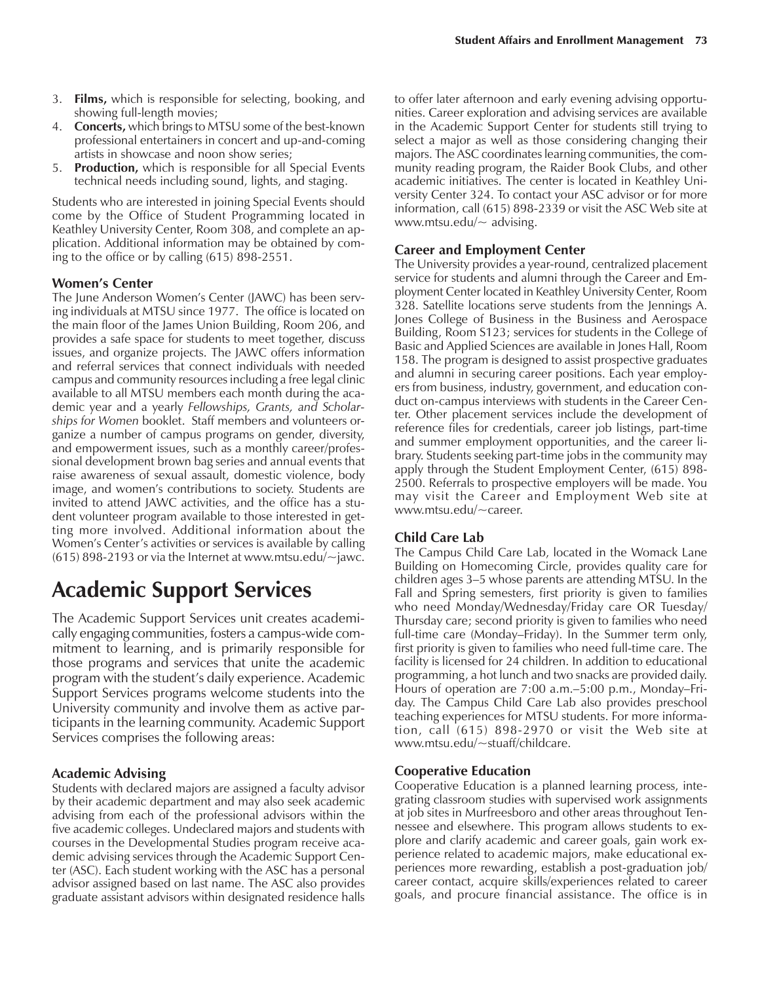- 3. **Films,** which is responsible for selecting, booking, and showing full-length movies;
- 4. **Concerts,** which brings to MTSU some of the best-known professional entertainers in concert and up-and-coming artists in showcase and noon show series;
- 5. **Production,** which is responsible for all Special Events technical needs including sound, lights, and staging.

Students who are interested in joining Special Events should come by the Office of Student Programming located in Keathley University Center, Room 308, and complete an application. Additional information may be obtained by coming to the office or by calling (615) 898-2551.

# **Womenís Center**

The June Anderson Womenís Center (JAWC) has been serving individuals at MTSU since 1977. The office is located on the main floor of the James Union Building, Room 206, and provides a safe space for students to meet together, discuss issues, and organize projects. The JAWC offers information and referral services that connect individuals with needed campus and community resources including a free legal clinic available to all MTSU members each month during the academic year and a yearly *Fellowships, Grants, and Scholarships for Women* booklet. Staff members and volunteers organize a number of campus programs on gender, diversity, and empowerment issues, such as a monthly career/professional development brown bag series and annual events that raise awareness of sexual assault, domestic violence, body image, and women's contributions to society. Students are invited to attend JAWC activities, and the office has a student volunteer program available to those interested in getting more involved. Additional information about the Women's Center's activities or services is available by calling (615) 898-2193 or via the Internet at www.mtsu.edu/ $\sim$ jawc.

# **Academic Support Services**

The Academic Support Services unit creates academically engaging communities, fosters a campus-wide commitment to learning, and is primarily responsible for those programs and services that unite the academic program with the student's daily experience. Academic Support Services programs welcome students into the University community and involve them as active participants in the learning community. Academic Support Services comprises the following areas:

# **Academic Advising**

Students with declared majors are assigned a faculty advisor by their academic department and may also seek academic advising from each of the professional advisors within the five academic colleges. Undeclared majors and students with courses in the Developmental Studies program receive academic advising services through the Academic Support Center (ASC). Each student working with the ASC has a personal advisor assigned based on last name. The ASC also provides graduate assistant advisors within designated residence halls

to offer later afternoon and early evening advising opportunities. Career exploration and advising services are available in the Academic Support Center for students still trying to select a major as well as those considering changing their majors. The ASC coordinates learning communities, the community reading program, the Raider Book Clubs, and other academic initiatives. The center is located in Keathley University Center 324. To contact your ASC advisor or for more information, call (615) 898-2339 or visit the ASC Web site at www.mtsu.edu/ $\sim$  advising.

# **Career and Employment Center**

The University provides a year-round, centralized placement service for students and alumni through the Career and Employment Center located in Keathley University Center, Room 328. Satellite locations serve students from the Jennings A. Jones College of Business in the Business and Aerospace Building, Room S123; services for students in the College of Basic and Applied Sciences are available in Jones Hall, Room 158. The program is designed to assist prospective graduates and alumni in securing career positions. Each year employers from business, industry, government, and education conduct on-campus interviews with students in the Career Center. Other placement services include the development of reference files for credentials, career job listings, part-time and summer employment opportunities, and the career library. Students seeking part-time jobs in the community may apply through the Student Employment Center, (615) 898- 2500. Referrals to prospective employers will be made. You may visit the Career and Employment Web site at www.mtsu.edu/~career.

# **Child Care Lab**

The Campus Child Care Lab, located in the Womack Lane Building on Homecoming Circle, provides quality care for children ages 3–5 whose parents are attending MTSU. In the Fall and Spring semesters, first priority is given to families who need Monday/Wednesday/Friday care OR Tuesday/ Thursday care; second priority is given to families who need full-time care (Monday-Friday). In the Summer term only, first priority is given to families who need full-time care. The facility is licensed for 24 children. In addition to educational programming, a hot lunch and two snacks are provided daily. Hours of operation are 7:00 a.m.–5:00 p.m., Monday-Friday. The Campus Child Care Lab also provides preschool teaching experiences for MTSU students. For more information, call (615) 898-2970 or visit the Web site at www.mtsu.edu/~stuaff/childcare.

#### **Cooperative Education**

Cooperative Education is a planned learning process, integrating classroom studies with supervised work assignments at job sites in Murfreesboro and other areas throughout Tennessee and elsewhere. This program allows students to explore and clarify academic and career goals, gain work experience related to academic majors, make educational experiences more rewarding, establish a post-graduation job/ career contact, acquire skills/experiences related to career goals, and procure financial assistance. The office is in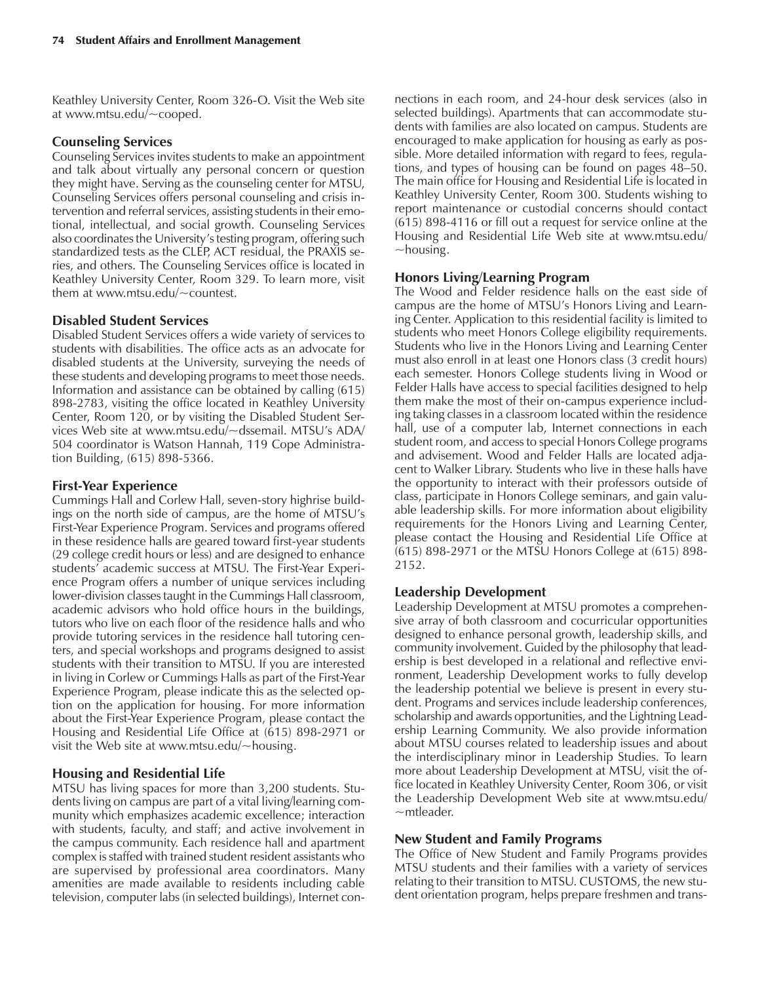Keathley University Center, Room 326-O. Visit the Web site at www.mtsu.edu/~cooped.

#### **Counseling Services**

Counseling Services invites students to make an appointment and talk about virtually any personal concern or question they might have. Serving as the counseling center for MTSU, Counseling Services offers personal counseling and crisis intervention and referral services, assisting students in their emotional, intellectual, and social growth. Counseling Services also coordinates the University's testing program, offering such standardized tests as the CLEP, ACT residual, the PRAXIS series, and others. The Counseling Services office is located in Keathley University Center, Room 329. To learn more, visit them at www.mtsu.edu/~countest.

# **Disabled Student Services**

Disabled Student Services offers a wide variety of services to students with disabilities. The office acts as an advocate for disabled students at the University, surveying the needs of these students and developing programs to meet those needs. Information and assistance can be obtained by calling (615) 898-2783, visiting the office located in Keathley University Center, Room 120, or by visiting the Disabled Student Services Web site at www.mtsu.edu/~dssemail. MTSU's ADA/ 504 coordinator is Watson Hannah, 119 Cope Administration Building, (615) 898-5366.

# **First-Year Experience**

Cummings Hall and Corlew Hall, seven-story highrise buildings on the north side of campus, are the home of MTSU's First-Year Experience Program. Services and programs offered in these residence halls are geared toward first-year students (29 college credit hours or less) and are designed to enhance students' academic success at MTSU. The First-Year Experience Program offers a number of unique services including lower-division classes taught in the Cummings Hall classroom, academic advisors who hold office hours in the buildings, tutors who live on each floor of the residence halls and who provide tutoring services in the residence hall tutoring centers, and special workshops and programs designed to assist students with their transition to MTSU. If you are interested in living in Corlew or Cummings Halls as part of the First-Year Experience Program, please indicate this as the selected option on the application for housing. For more information about the First-Year Experience Program, please contact the Housing and Residential Life Office at (615) 898-2971 or visit the Web site at www.mtsu.edu/~housing.

#### **Housing and Residential Life**

MTSU has living spaces for more than 3,200 students. Students living on campus are part of a vital living/learning community which emphasizes academic excellence; interaction with students, faculty, and staff; and active involvement in the campus community. Each residence hall and apartment complex is staffed with trained student resident assistants who are supervised by professional area coordinators. Many amenities are made available to residents including cable television, computer labs (in selected buildings), Internet con-

nections in each room, and 24-hour desk services (also in selected buildings). Apartments that can accommodate students with families are also located on campus. Students are encouraged to make application for housing as early as possible. More detailed information with regard to fees, regulations, and types of housing can be found on pages  $48-50$ . The main office for Housing and Residential Life is located in Keathley University Center, Room 300. Students wishing to report maintenance or custodial concerns should contact (615) 898-4116 or fill out a request for service online at the Housing and Residential Life Web site at www.mtsu.edu/  $\sim$ housing.

#### **Honors Living/Learning Program**

The Wood and Felder residence halls on the east side of campus are the home of MTSU's Honors Living and Learning Center. Application to this residential facility is limited to students who meet Honors College eligibility requirements. Students who live in the Honors Living and Learning Center must also enroll in at least one Honors class (3 credit hours) each semester. Honors College students living in Wood or Felder Halls have access to special facilities designed to help them make the most of their on-campus experience including taking classes in a classroom located within the residence hall, use of a computer lab, Internet connections in each student room, and access to special Honors College programs and advisement. Wood and Felder Halls are located adjacent to Walker Library. Students who live in these halls have the opportunity to interact with their professors outside of class, participate in Honors College seminars, and gain valuable leadership skills. For more information about eligibility requirements for the Honors Living and Learning Center, please contact the Housing and Residential Life Office at (615) 898-2971 or the MTSU Honors College at (615) 898- 2152.

#### **Leadership Development**

Leadership Development at MTSU promotes a comprehensive array of both classroom and cocurricular opportunities designed to enhance personal growth, leadership skills, and community involvement. Guided by the philosophy that leadership is best developed in a relational and reflective environment, Leadership Development works to fully develop the leadership potential we believe is present in every student. Programs and services include leadership conferences, scholarship and awards opportunities, and the Lightning Leadership Learning Community. We also provide information about MTSU courses related to leadership issues and about the interdisciplinary minor in Leadership Studies. To learn more about Leadership Development at MTSU, visit the office located in Keathley University Center, Room 306, or visit the Leadership Development Web site at www.mtsu.edu/ ~mtleader.

#### **New Student and Family Programs**

The Office of New Student and Family Programs provides MTSU students and their families with a variety of services relating to their transition to MTSU. CUSTOMS, the new student orientation program, helps prepare freshmen and trans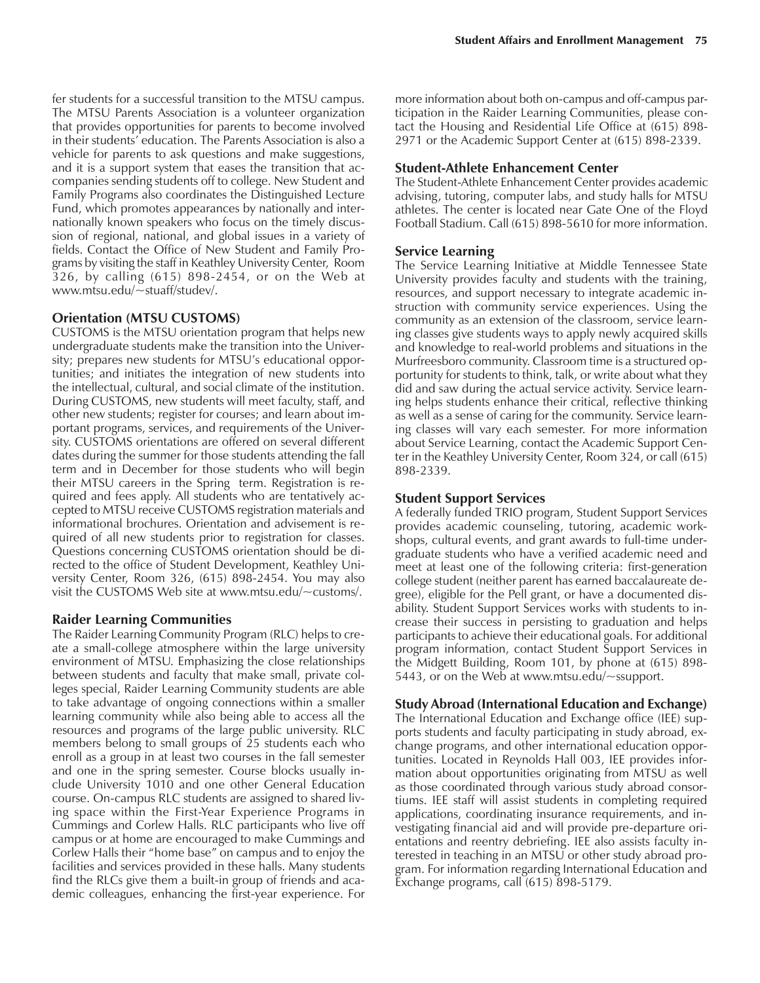fer students for a successful transition to the MTSU campus. The MTSU Parents Association is a volunteer organization that provides opportunities for parents to become involved in their students' education. The Parents Association is also a vehicle for parents to ask questions and make suggestions, and it is a support system that eases the transition that accompanies sending students off to college. New Student and Family Programs also coordinates the Distinguished Lecture Fund, which promotes appearances by nationally and internationally known speakers who focus on the timely discussion of regional, national, and global issues in a variety of fields. Contact the Office of New Student and Family Programs by visiting the staff in Keathley University Center, Room 326, by calling (615) 898-2454, or on the Web at www.mtsu.edu/~stuaff/studev/.

#### **Orientation (MTSU CUSTOMS)**

CUSTOMS is the MTSU orientation program that helps new undergraduate students make the transition into the University; prepares new students for MTSU's educational opportunities; and initiates the integration of new students into the intellectual, cultural, and social climate of the institution. During CUSTOMS, new students will meet faculty, staff, and other new students; register for courses; and learn about important programs, services, and requirements of the University. CUSTOMS orientations are offered on several different dates during the summer for those students attending the fall term and in December for those students who will begin their MTSU careers in the Spring term. Registration is required and fees apply. All students who are tentatively accepted to MTSU receive CUSTOMS registration materials and informational brochures. Orientation and advisement is required of all new students prior to registration for classes. Questions concerning CUSTOMS orientation should be directed to the office of Student Development, Keathley University Center, Room 326, (615) 898-2454. You may also visit the CUSTOMS Web site at www.mtsu.edu/~customs/.

#### **Raider Learning Communities**

The Raider Learning Community Program (RLC) helps to create a small-college atmosphere within the large university environment of MTSU. Emphasizing the close relationships between students and faculty that make small, private colleges special, Raider Learning Community students are able to take advantage of ongoing connections within a smaller learning community while also being able to access all the resources and programs of the large public university. RLC members belong to small groups of 25 students each who enroll as a group in at least two courses in the fall semester and one in the spring semester. Course blocks usually include University 1010 and one other General Education course. On-campus RLC students are assigned to shared living space within the First-Year Experience Programs in Cummings and Corlew Halls. RLC participants who live off campus or at home are encouraged to make Cummings and Corlew Halls their "home base" on campus and to enjoy the facilities and services provided in these halls. Many students find the RLCs give them a built-in group of friends and academic colleagues, enhancing the first-year experience. For

more information about both on-campus and off-campus participation in the Raider Learning Communities, please contact the Housing and Residential Life Office at (615) 898- 2971 or the Academic Support Center at (615) 898-2339.

#### **Student-Athlete Enhancement Center**

The Student-Athlete Enhancement Center provides academic advising, tutoring, computer labs, and study halls for MTSU athletes. The center is located near Gate One of the Floyd Football Stadium. Call (615) 898-5610 for more information.

#### **Service Learning**

The Service Learning Initiative at Middle Tennessee State University provides faculty and students with the training, resources, and support necessary to integrate academic instruction with community service experiences. Using the community as an extension of the classroom, service learning classes give students ways to apply newly acquired skills and knowledge to real-world problems and situations in the Murfreesboro community. Classroom time is a structured opportunity for students to think, talk, or write about what they did and saw during the actual service activity. Service learning helps students enhance their critical, reflective thinking as well as a sense of caring for the community. Service learning classes will vary each semester. For more information about Service Learning, contact the Academic Support Center in the Keathley University Center, Room 324, or call (615) 898-2339.

#### **Student Support Services**

A federally funded TRIO program, Student Support Services provides academic counseling, tutoring, academic workshops, cultural events, and grant awards to full-time undergraduate students who have a verified academic need and meet at least one of the following criteria: first-generation college student (neither parent has earned baccalaureate degree), eligible for the Pell grant, or have a documented disability. Student Support Services works with students to increase their success in persisting to graduation and helps participants to achieve their educational goals. For additional program information, contact Student Support Services in the Midgett Building, Room 101, by phone at (615) 898- 5443, or on the Web at www.mtsu.edu/~ssupport.

#### **Study Abroad (International Education and Exchange)**

The International Education and Exchange office (IEE) supports students and faculty participating in study abroad, exchange programs, and other international education opportunities. Located in Reynolds Hall 003, IEE provides information about opportunities originating from MTSU as well as those coordinated through various study abroad consortiums. IEE staff will assist students in completing required applications, coordinating insurance requirements, and investigating financial aid and will provide pre-departure orientations and reentry debriefing. IEE also assists faculty interested in teaching in an MTSU or other study abroad program. For information regarding International Education and Exchange programs, call (615) 898-5179.